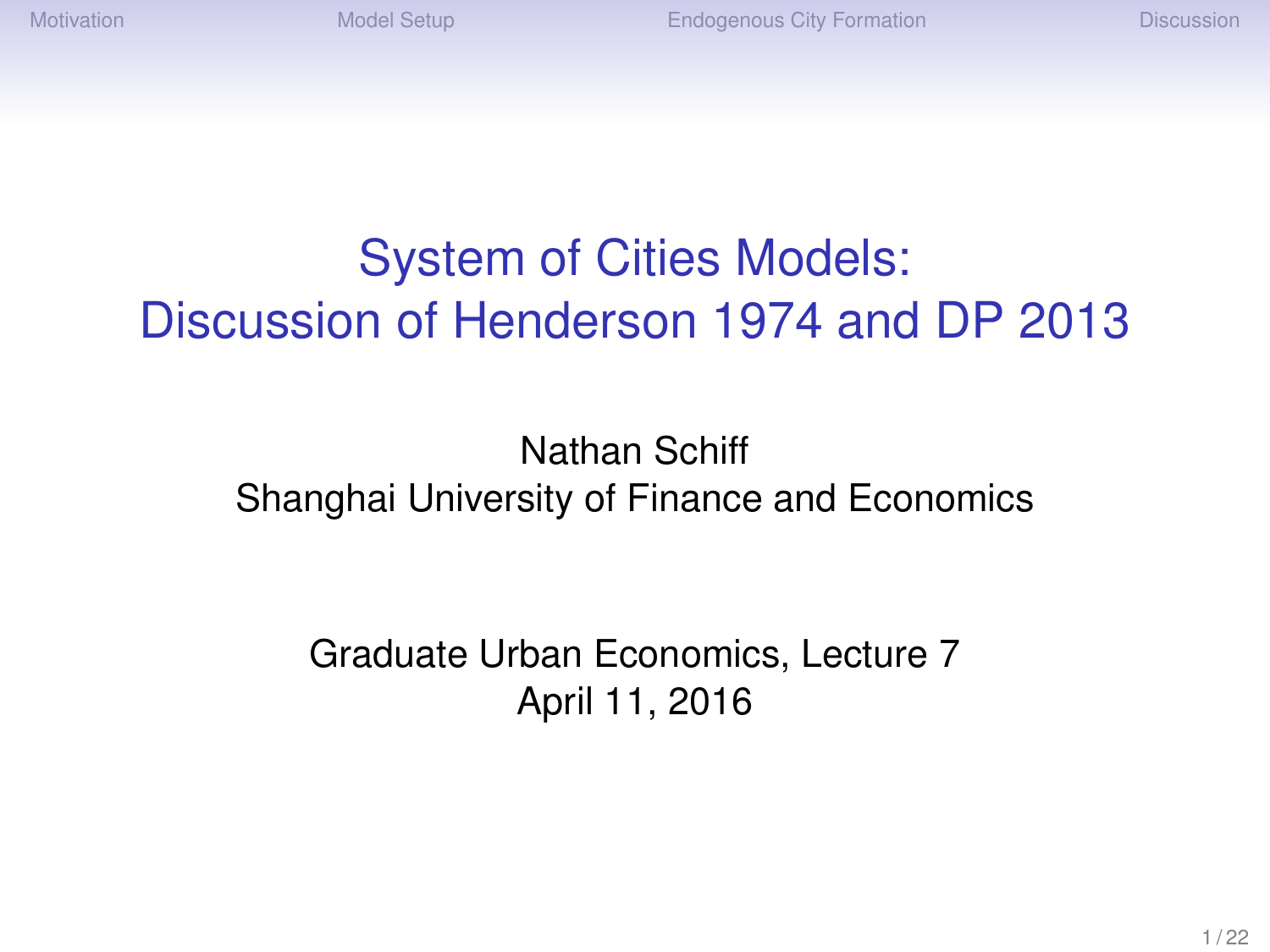# System of Cities Models: Discussion of Henderson 1974 and DP 2013

#### Nathan Schiff Shanghai University of Finance and Economics

Graduate Urban Economics, Lecture 7 April 11, 2016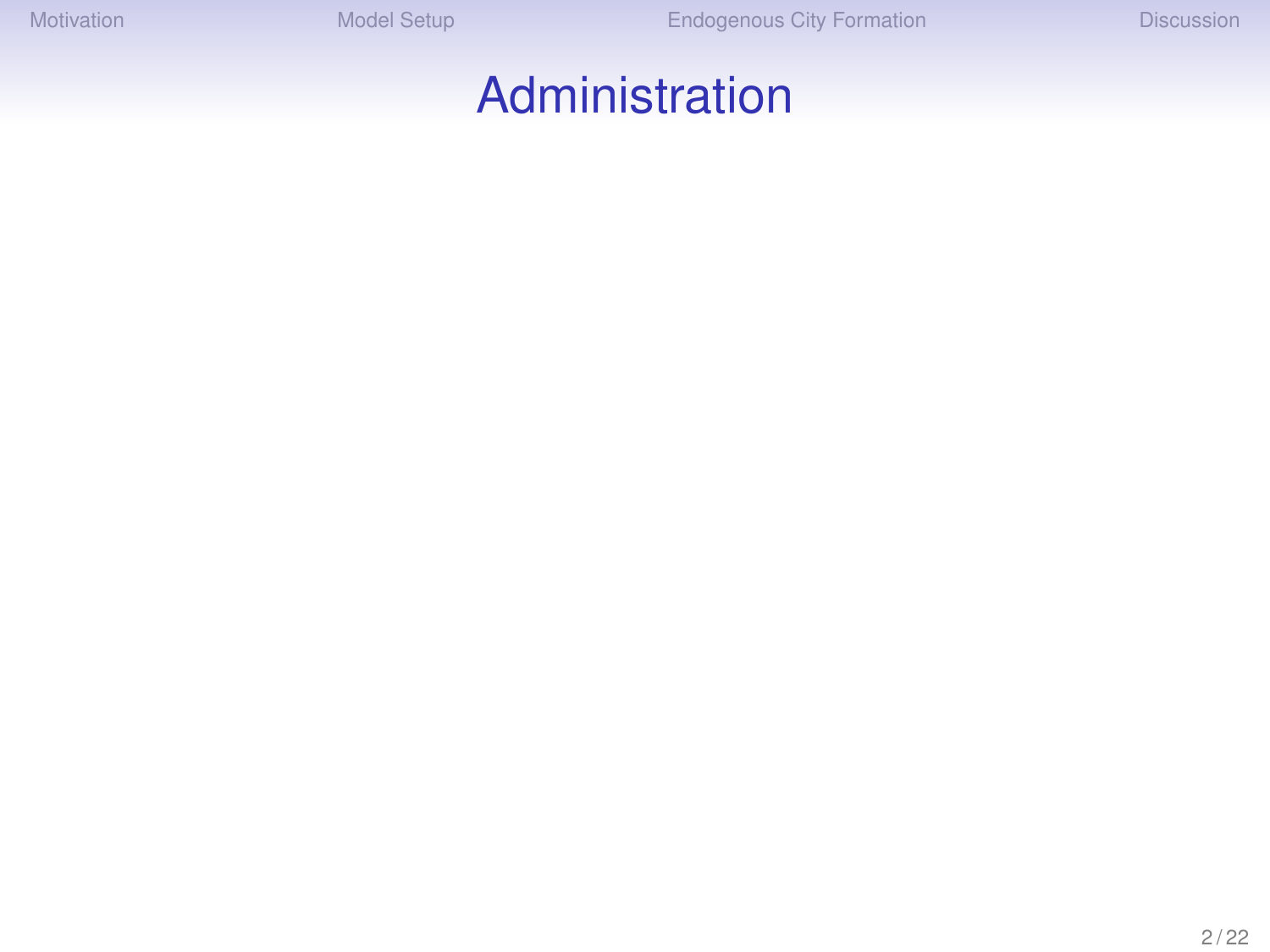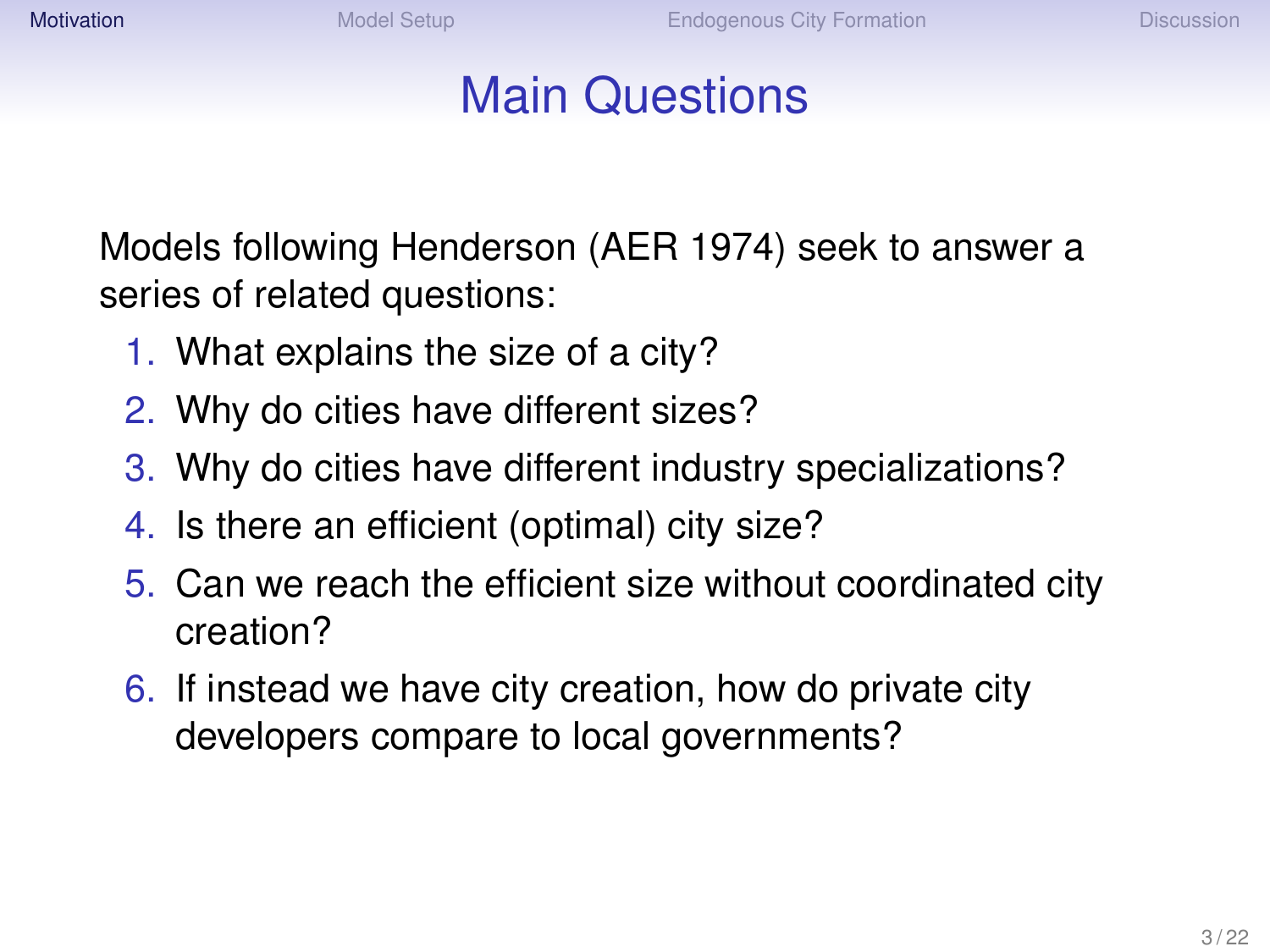## Main Questions

<span id="page-2-0"></span>Models following Henderson (AER 1974) seek to answer a series of related questions:

- 1. What explains the size of a city?
- 2. Why do cities have different sizes?
- 3. Why do cities have different industry specializations?
- 4. Is there an efficient (optimal) city size?
- 5. Can we reach the efficient size without coordinated city creation?
- 6. If instead we have city creation, how do private city developers compare to local governments?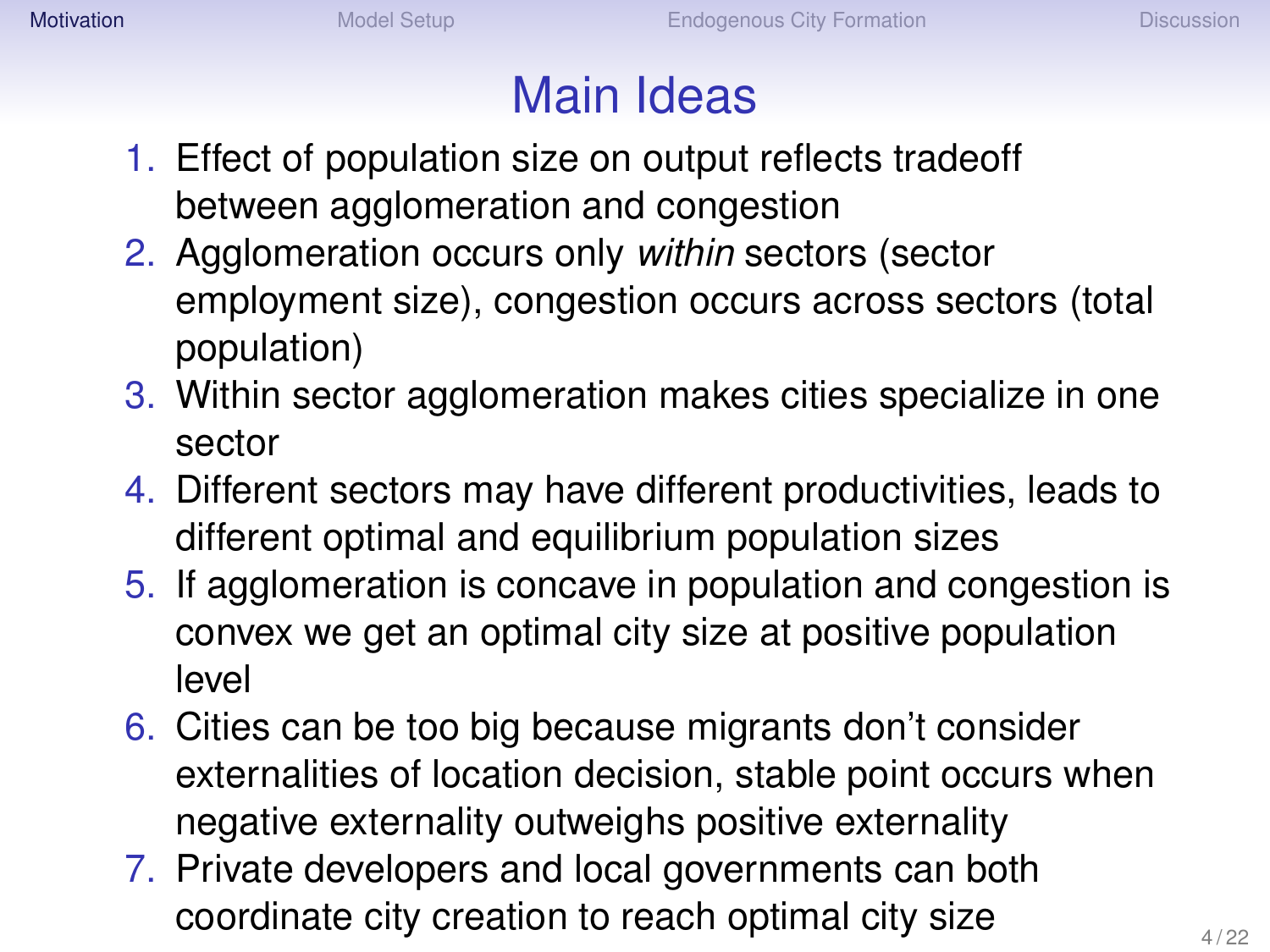# Main Ideas

- 1. Effect of population size on output reflects tradeoff between agglomeration and congestion
- 2. Agglomeration occurs only *within* sectors (sector employment size), congestion occurs across sectors (total population)
- 3. Within sector agglomeration makes cities specialize in one sector
- 4. Different sectors may have different productivities, leads to different optimal and equilibrium population sizes
- 5. If agglomeration is concave in population and congestion is convex we get an optimal city size at positive population level
- 6. Cities can be too big because migrants don't consider externalities of location decision, stable point occurs when negative externality outweighs positive externality
- 7. Private developers and local governments can both coordinate city creation to reach optimal city size  $4/22$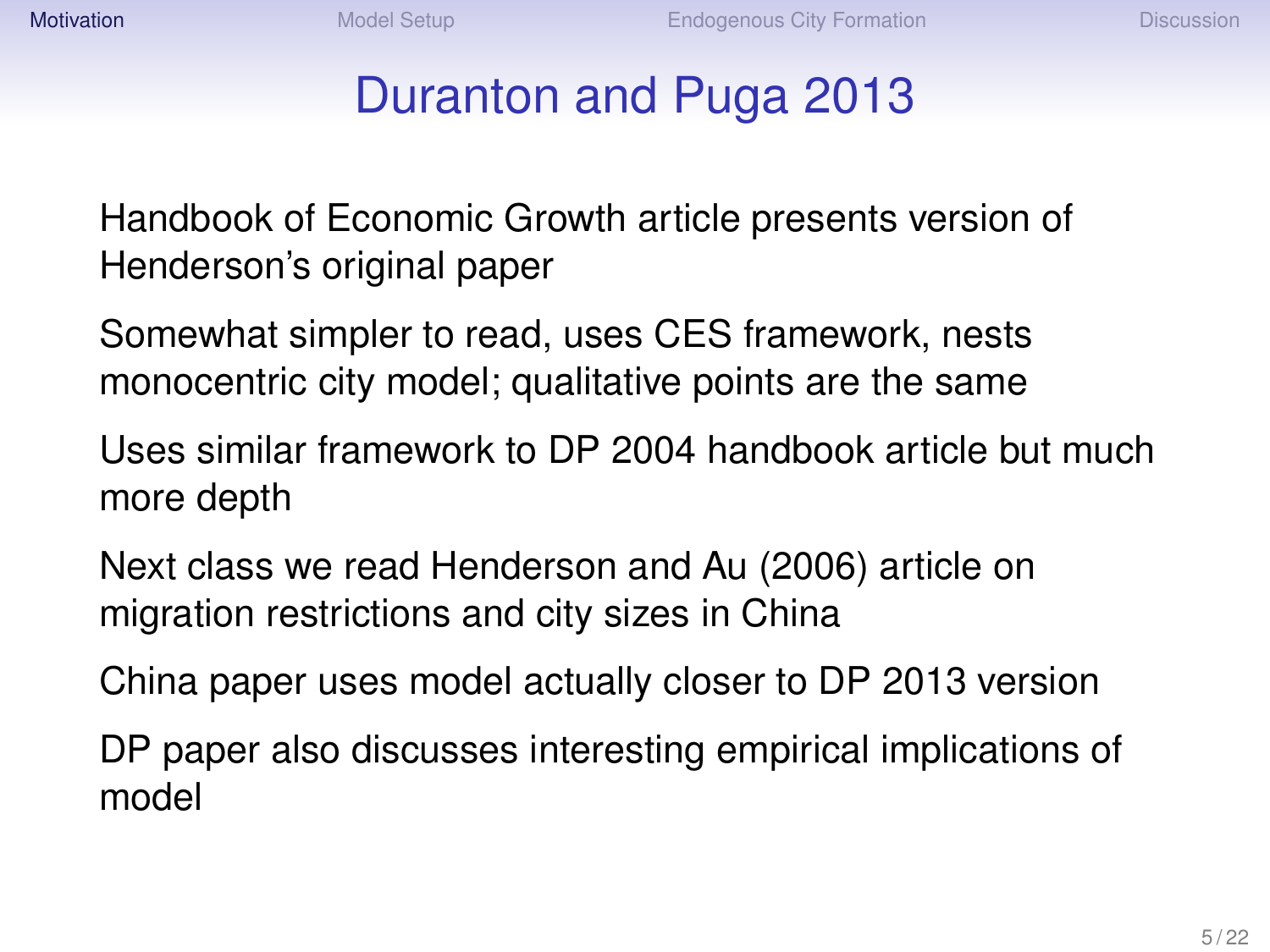## Duranton and Puga 2013

Handbook of Economic Growth article presents version of Henderson's original paper

Somewhat simpler to read, uses CES framework, nests monocentric city model; qualitative points are the same

Uses similar framework to DP 2004 handbook article but much more depth

Next class we read Henderson and Au (2006) article on migration restrictions and city sizes in China

China paper uses model actually closer to DP 2013 version

DP paper also discusses interesting empirical implications of model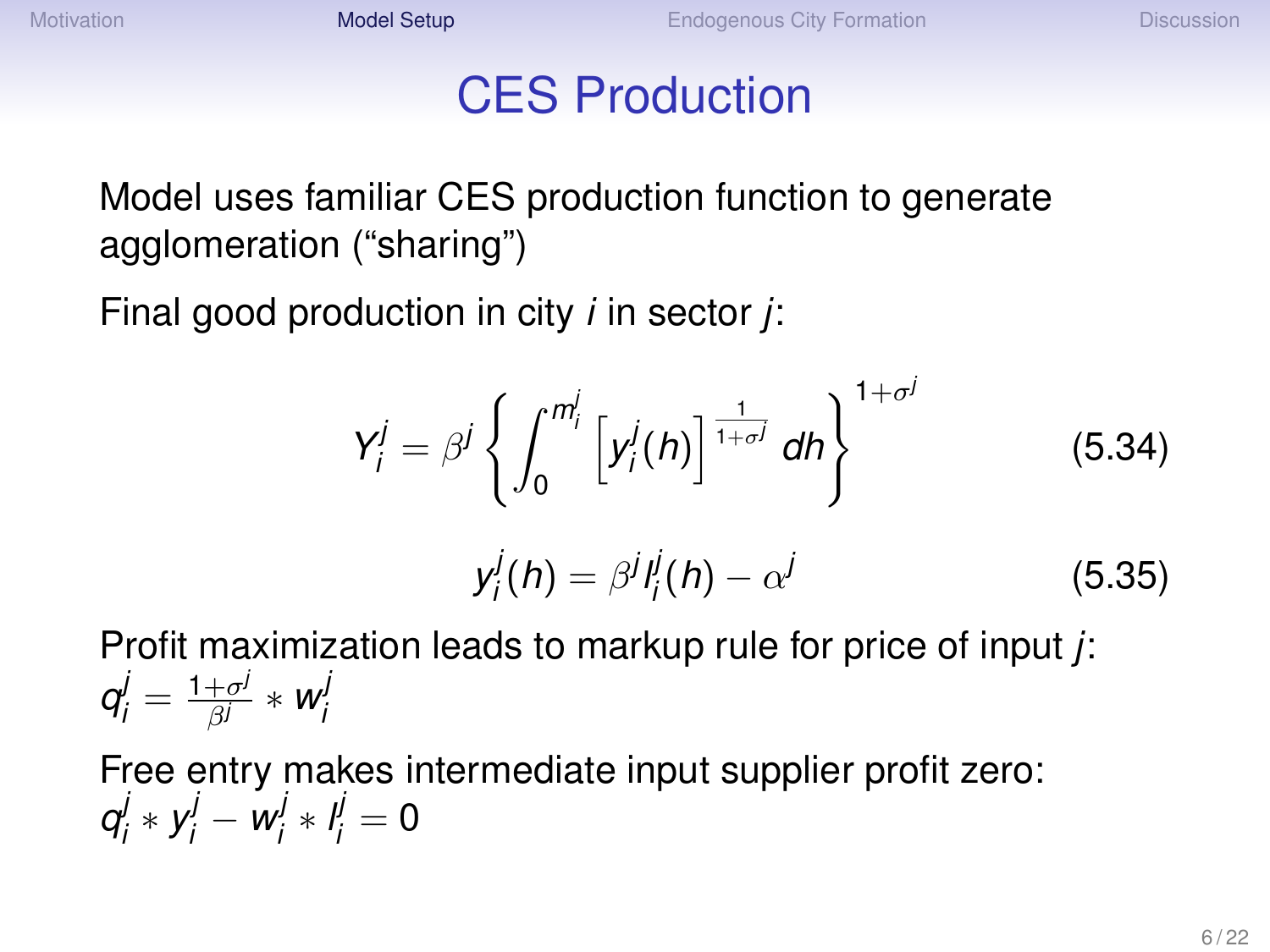#### CES Production

<span id="page-5-0"></span>Model uses familiar CES production function to generate agglomeration ("sharing")

Final good production in city *i* in sector *j*:

$$
Y'_{i} = \beta^{j} \left\{ \int_{0}^{m'_{i}} \left[ y'_{i}(h) \right]^{\frac{1}{1+\sigma^{j}}} dh \right\}^{1+\sigma^{j}}
$$
(5.34)

$$
y_i^j(h) = \beta^j l_i^j(h) - \alpha^j \tag{5.35}
$$

Profit maximization leads to markup rule for price of input *j*:  $q_j^j = \frac{1+\sigma^j}{\beta^j} * w_j^j$ *i*

Free entry makes intermediate input supplier profit zero: *q j*  $y'_i \times y'_i - w'_i$  $a^j_i * l^j_i = 0$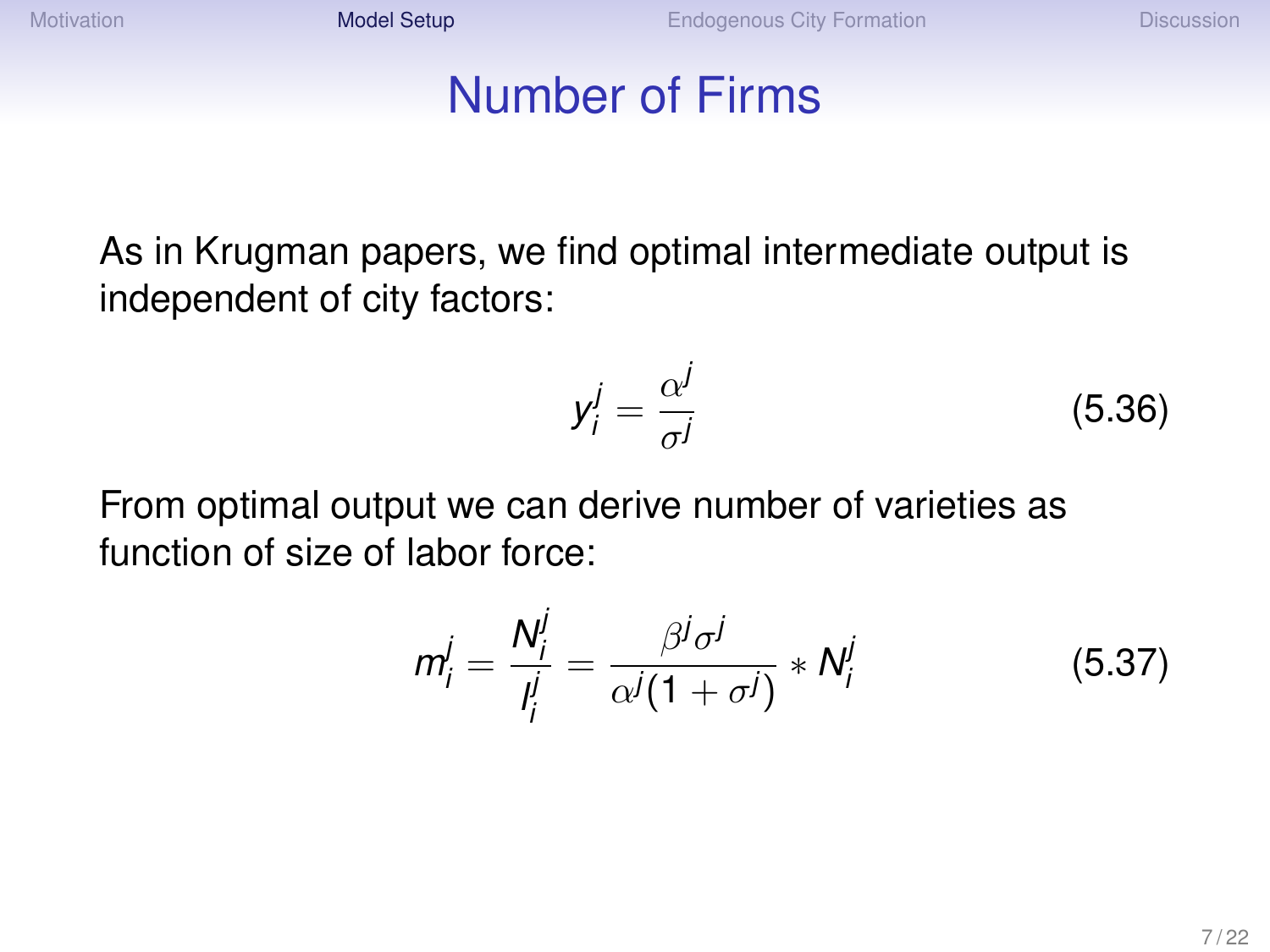[Motivation](#page-2-0) **[Model Setup](#page-5-0)** [Endogenous City Formation](#page-12-0) [Discussion](#page-21-0)

#### Number of Firms

As in Krugman papers, we find optimal intermediate output is independent of city factors:

$$
y_i^j = \frac{\alpha^j}{\sigma^j} \tag{5.36}
$$

From optimal output we can derive number of varieties as function of size of labor force:

$$
m_i^j = \frac{N_i^j}{l_i^j} = \frac{\beta^j \sigma^j}{\alpha^j (1 + \sigma^j)} * N_i^j
$$
 (5.37)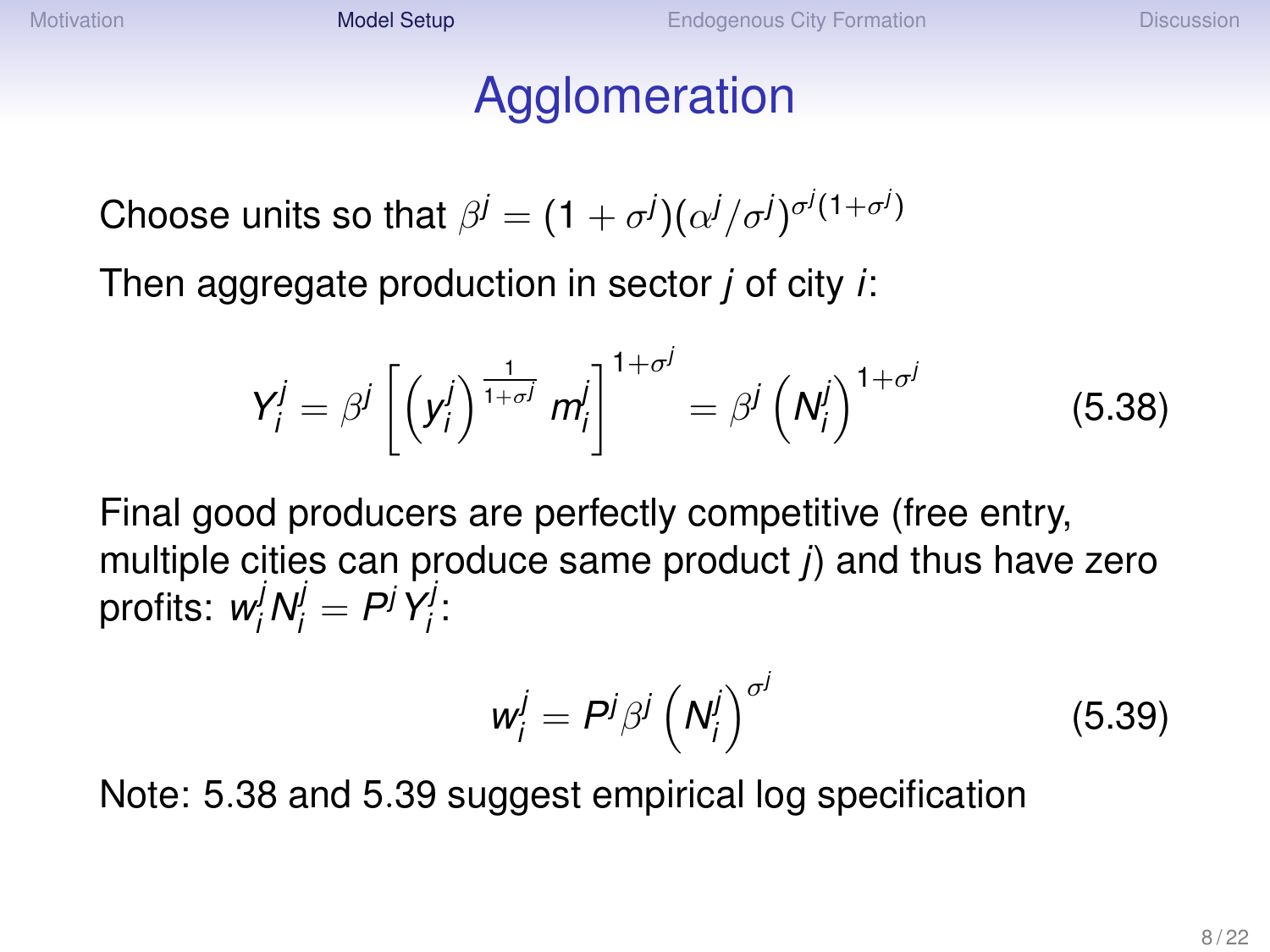# Agglomeration

Choose units so that  $\beta^j = (1+\sigma^j)(\alpha^j/\sigma^j)^{\sigma^j(1+\sigma^j)}$ 

Then aggregate production in sector *j* of city *i*:

$$
Y'_{i} = \beta^{j} \left[ \left( y'_{i} \right)^{\frac{1}{1+\sigma^{j}}} m'_{i} \right]^{1+\sigma^{j}} = \beta^{j} \left( N'_{i} \right)^{1+\sigma^{j}}
$$
(5.38)

Final good producers are perfectly competitive (free entry, multiple cities can produce same product *j*) and thus have zero profits:  $w_i^j N_i^j = P^j Y_i^j$ *i* :

$$
w_i^j = P^j \beta^j \left( N_i^j \right)^{\sigma^j} \tag{5.39}
$$

Note: 5.38 and 5.39 suggest empirical log specification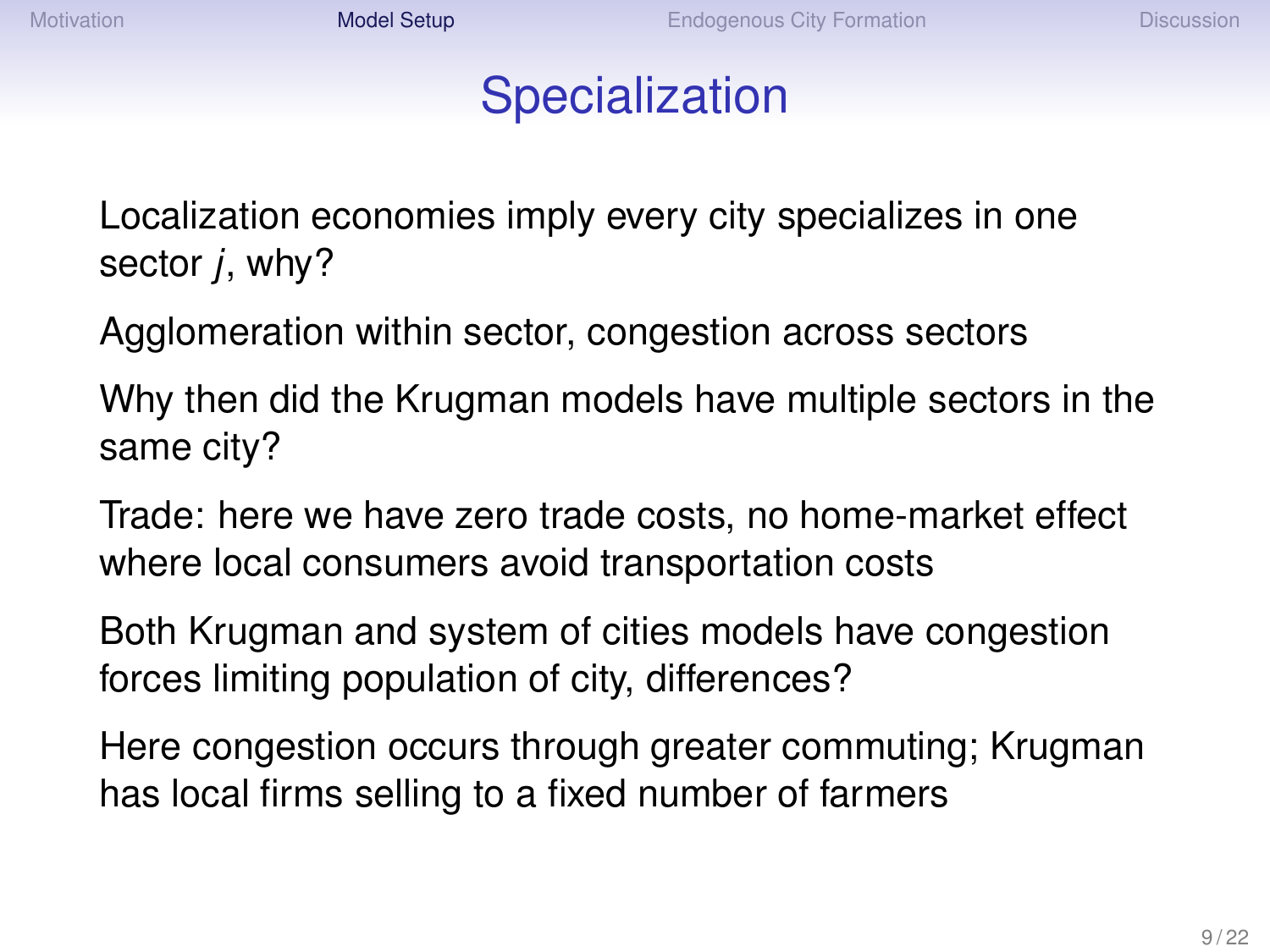#### **Specialization**

Localization economies imply every city specializes in one sector *j*, why?

Agglomeration within sector, congestion across sectors

Why then did the Krugman models have multiple sectors in the same city?

Trade: here we have zero trade costs, no home-market effect where local consumers avoid transportation costs

Both Krugman and system of cities models have congestion forces limiting population of city, differences?

Here congestion occurs through greater commuting; Krugman has local firms selling to a fixed number of farmers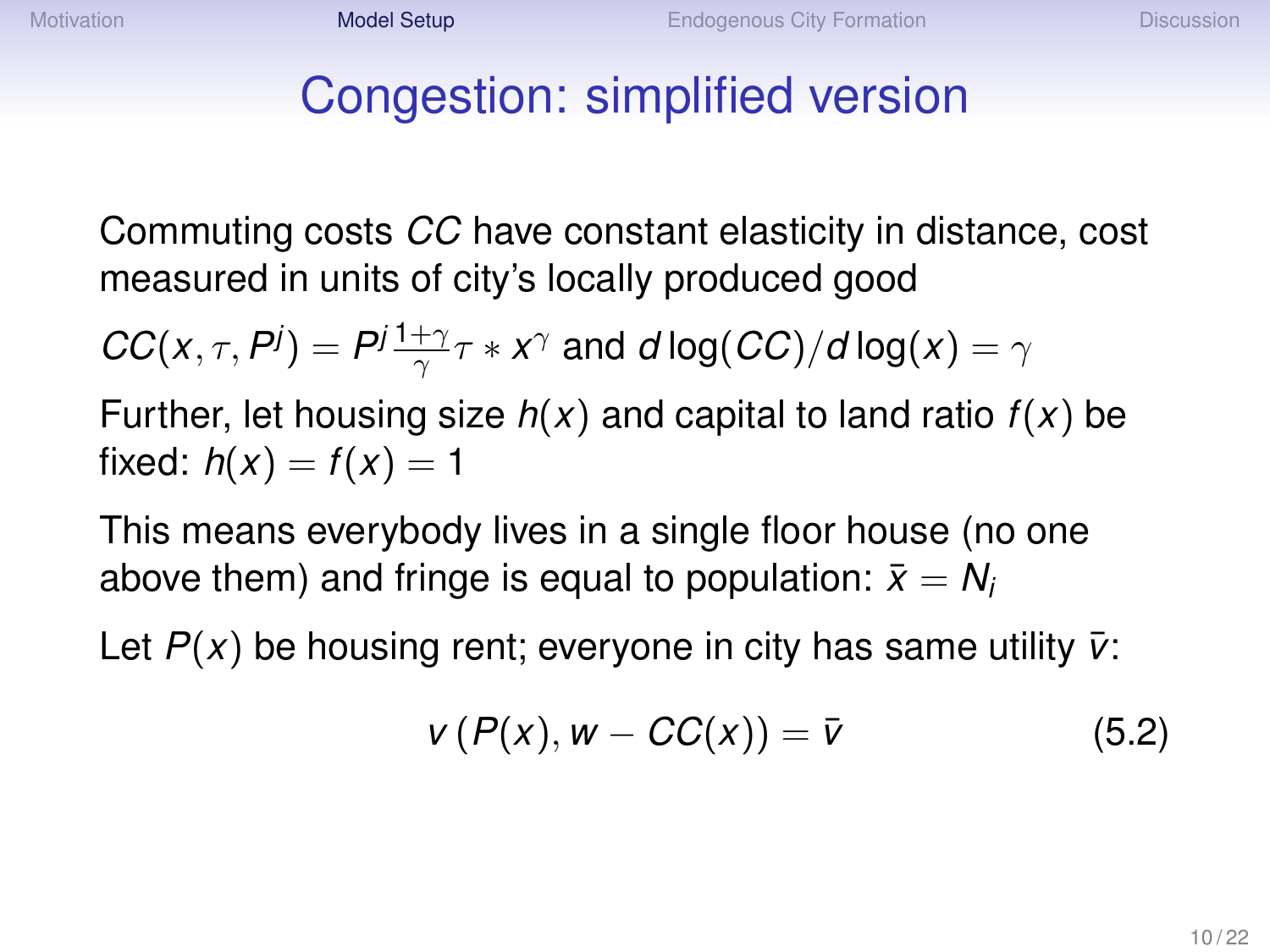## Congestion: simplified version

Commuting costs *CC* have constant elasticity in distance, cost measured in units of city's locally produced good

$$
CC(x, \tau, P^j) = P^j \frac{1+\gamma}{\gamma} \tau * x^{\gamma}
$$
 and  $d \log (CC)/d \log(x) = \gamma$ 

Further, let housing size *h*(*x*) and capital to land ratio *f*(*x*) be fixed:  $h(x) = f(x) = 1$ 

This means everybody lives in a single floor house (no one above them) and fringe is equal to population:  $\bar{x} = N_i$ 

Let  $P(x)$  be housing rent; everyone in city has same utility  $\bar{v}$ :

$$
v(P(x), w - CC(x)) = \overline{v}
$$
 (5.2)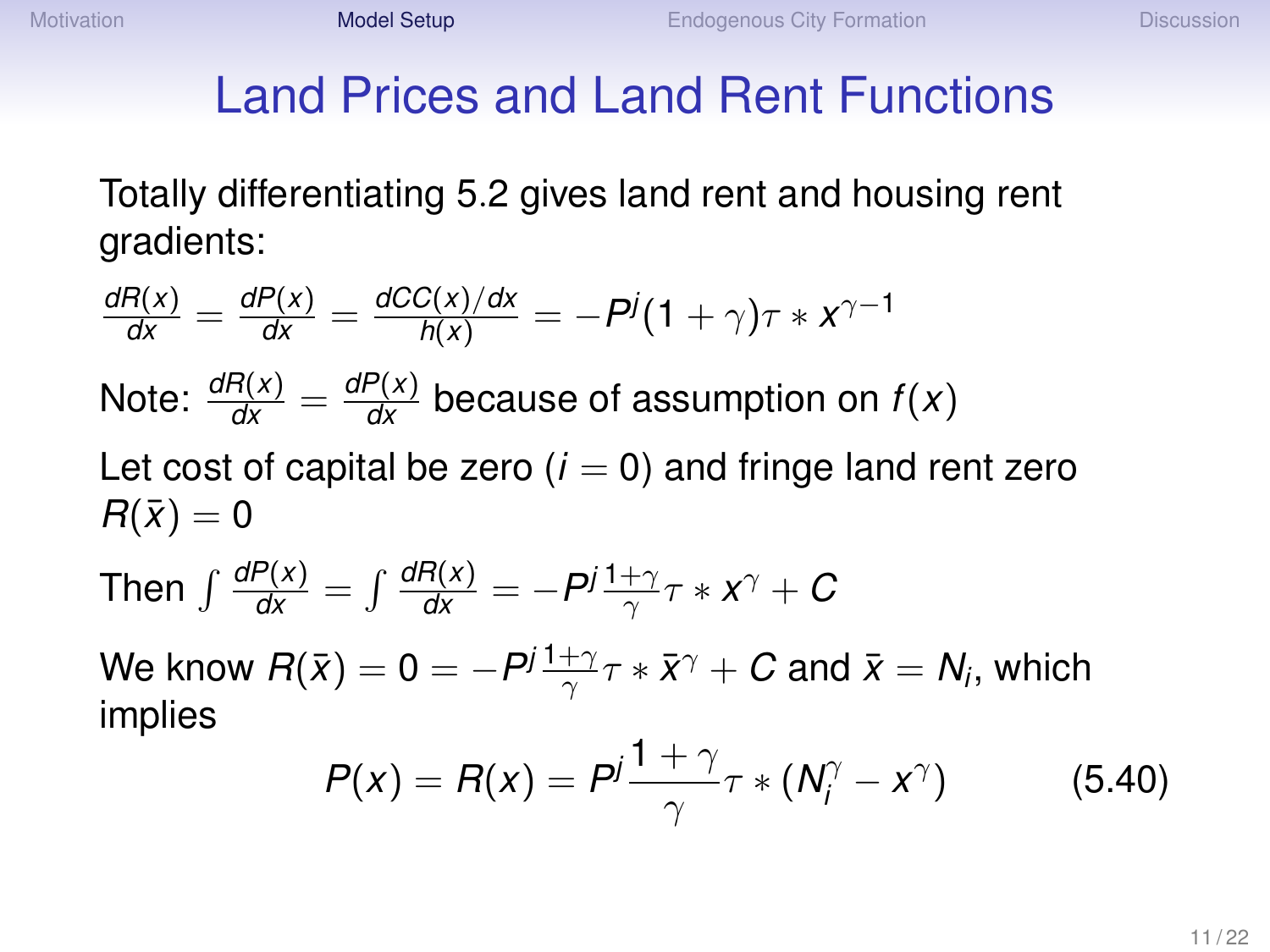# Land Prices and Land Rent Functions

Totally differentiating 5.2 gives land rent and housing rent gradients:

$$
\frac{dR(x)}{dx} = \frac{dP(x)}{dx} = \frac{dC(x)}{h(x)} = -P^j(1+\gamma)\tau * x^{\gamma-1}
$$
  
Note:  $\frac{dR(x)}{dx} = \frac{dP(x)}{dx}$  because of assumption on  $f(x)$   
Let cost of capital be zero (*i* = 0) and fringe land rent zero  
 $R(\bar{x}) = 0$   
Then  $\int \frac{dP(x)}{dx} = \int \frac{dR(x)}{dx} = -P^j \frac{1+\gamma}{\gamma}\tau * x^{\gamma} + C$   
We know  $R(\bar{x}) = 0 = -P^j \frac{1+\gamma}{\gamma}\tau * \bar{x}^{\gamma} + C$  and  $\bar{x} = N_i$ , which implies

$$
P(x) = R(x) = P^j \frac{1+\gamma}{\gamma} \tau * (N_j^{\gamma} - x^{\gamma})
$$
 (5.40)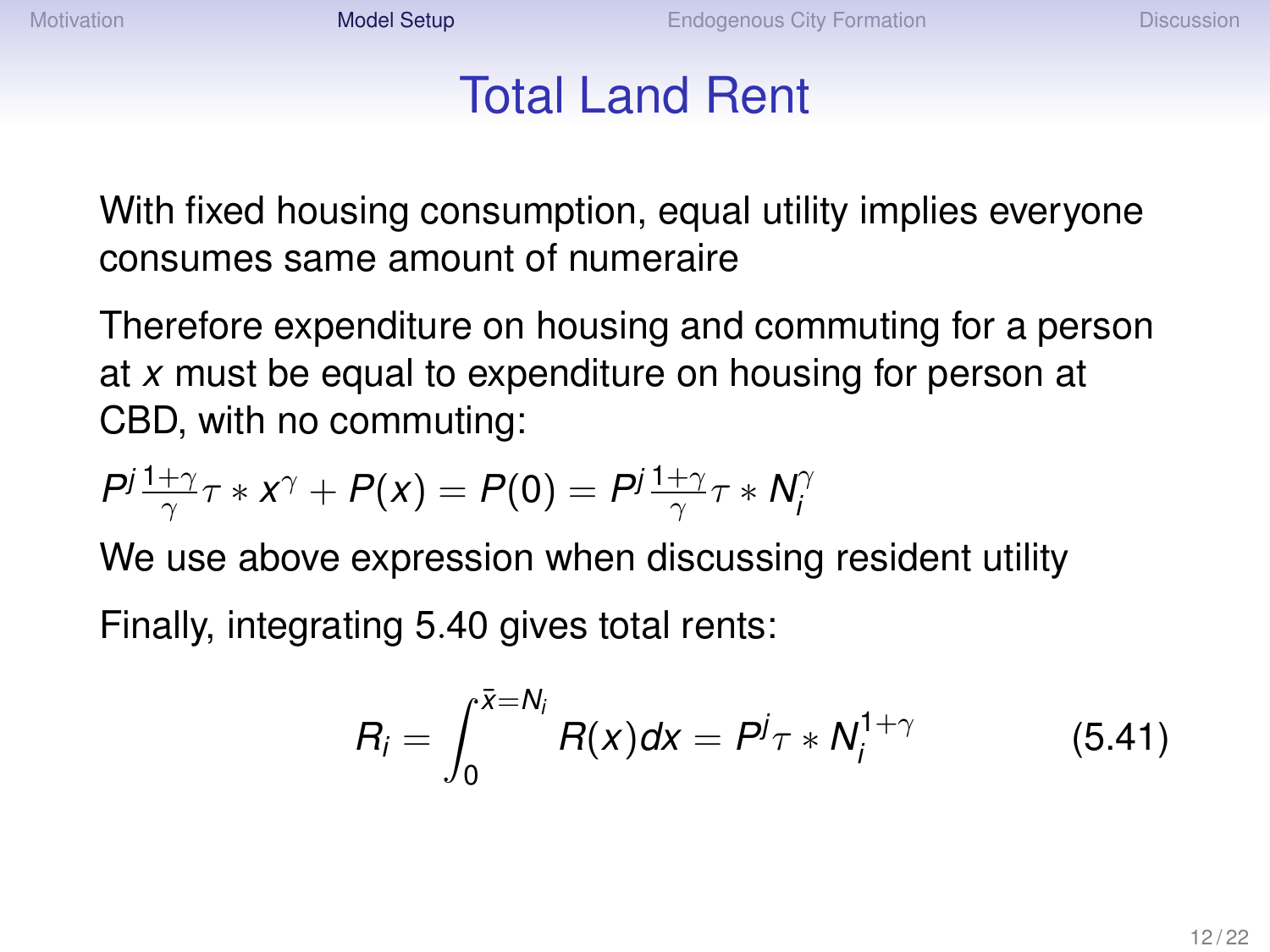#### Total Land Rent

With fixed housing consumption, equal utility implies everyone consumes same amount of numeraire

Therefore expenditure on housing and commuting for a person at *x* must be equal to expenditure on housing for person at CBD, with no commuting:

$$
P^j\frac{1+\gamma}{\gamma}\tau \ast X^{\gamma} + P(x) = P(0) = P^j\frac{1+\gamma}{\gamma}\tau \ast N_i^{\gamma}
$$

We use above expression when discussing resident utility Finally, integrating 5.40 gives total rents:

$$
R_i = \int_0^{\bar{x} = N_i} R(x) dx = P^j \tau * N_i^{1+\gamma}
$$
 (5.41)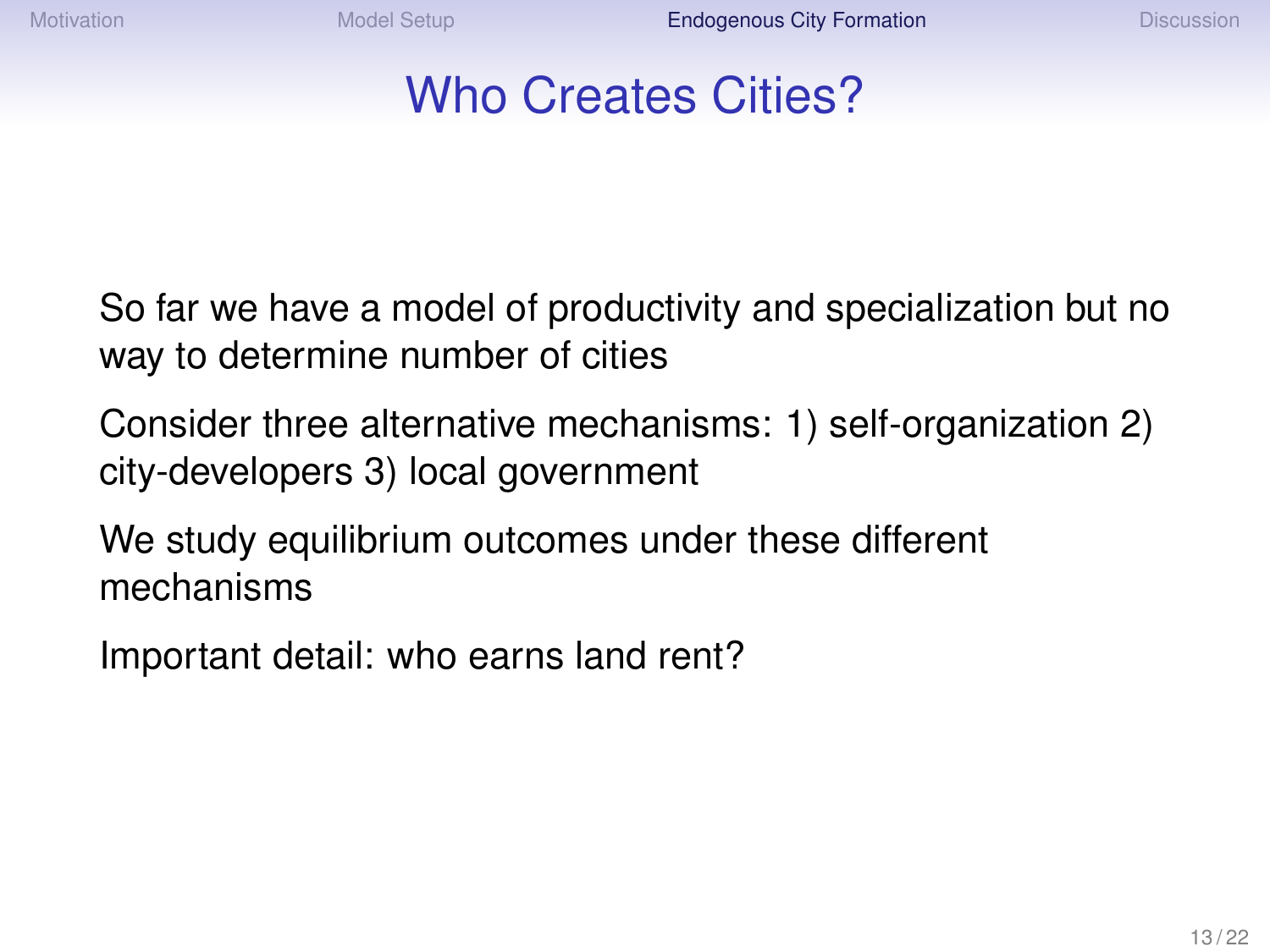## Who Creates Cities?

<span id="page-12-0"></span>So far we have a model of productivity and specialization but no way to determine number of cities

Consider three alternative mechanisms: 1) self-organization 2) city-developers 3) local government

We study equilibrium outcomes under these different mechanisms

Important detail: who earns land rent?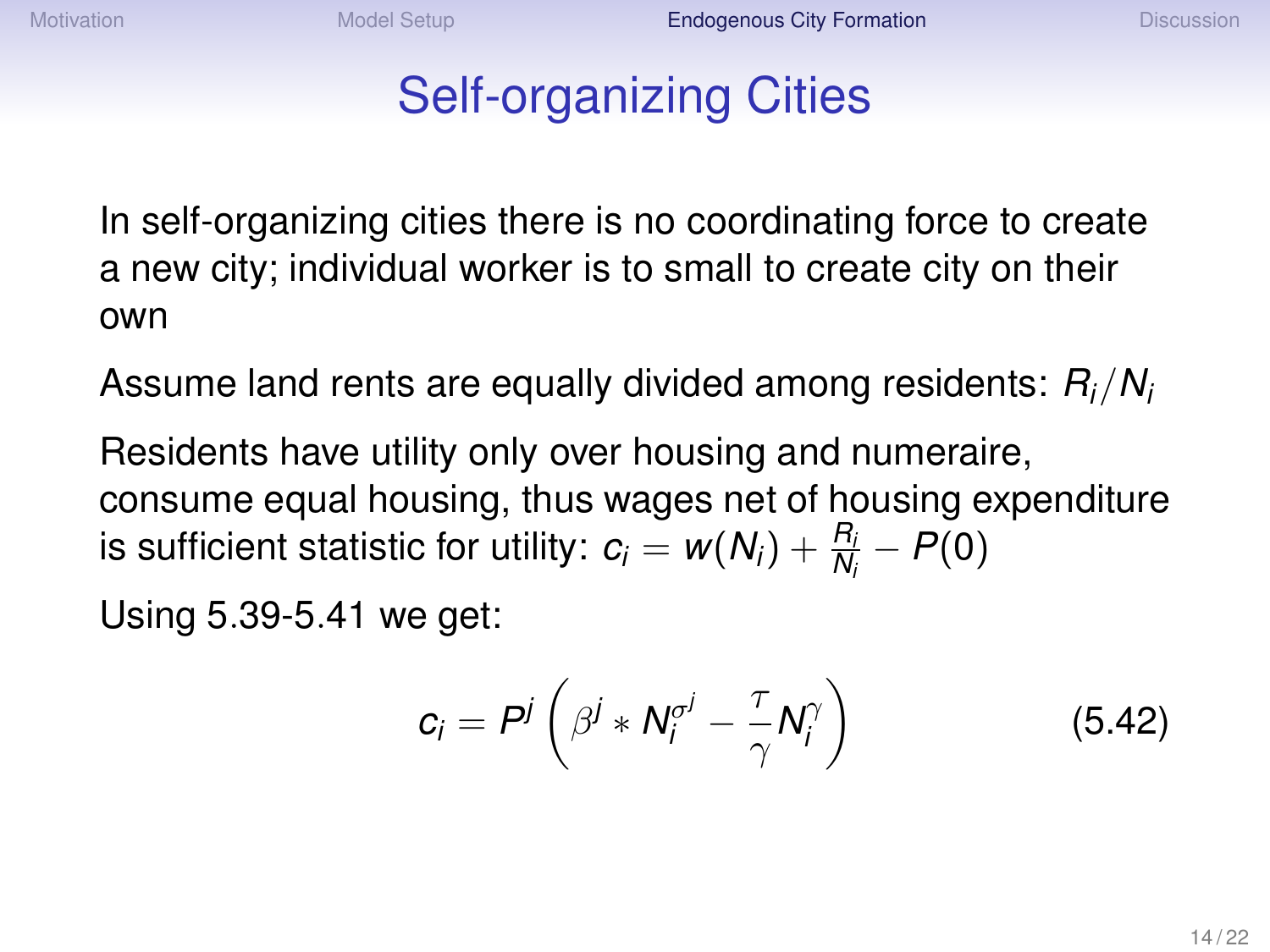## Self-organizing Cities

In self-organizing cities there is no coordinating force to create a new city; individual worker is to small to create city on their own

Assume land rents are equally divided among residents: *Ri*/*N<sup>i</sup>*

Residents have utility only over housing and numeraire, consume equal housing, thus wages net of housing expenditure is sufficient statistic for utility:  $c_i = w(N_i) + \frac{R_i}{N_i} - P(0)$ 

Using 5.39-5.41 we get:

$$
c_i = P^j \left( \beta^j * N_i^{\sigma^j} - \frac{\tau}{\gamma} N_i^{\gamma} \right)
$$
 (5.42)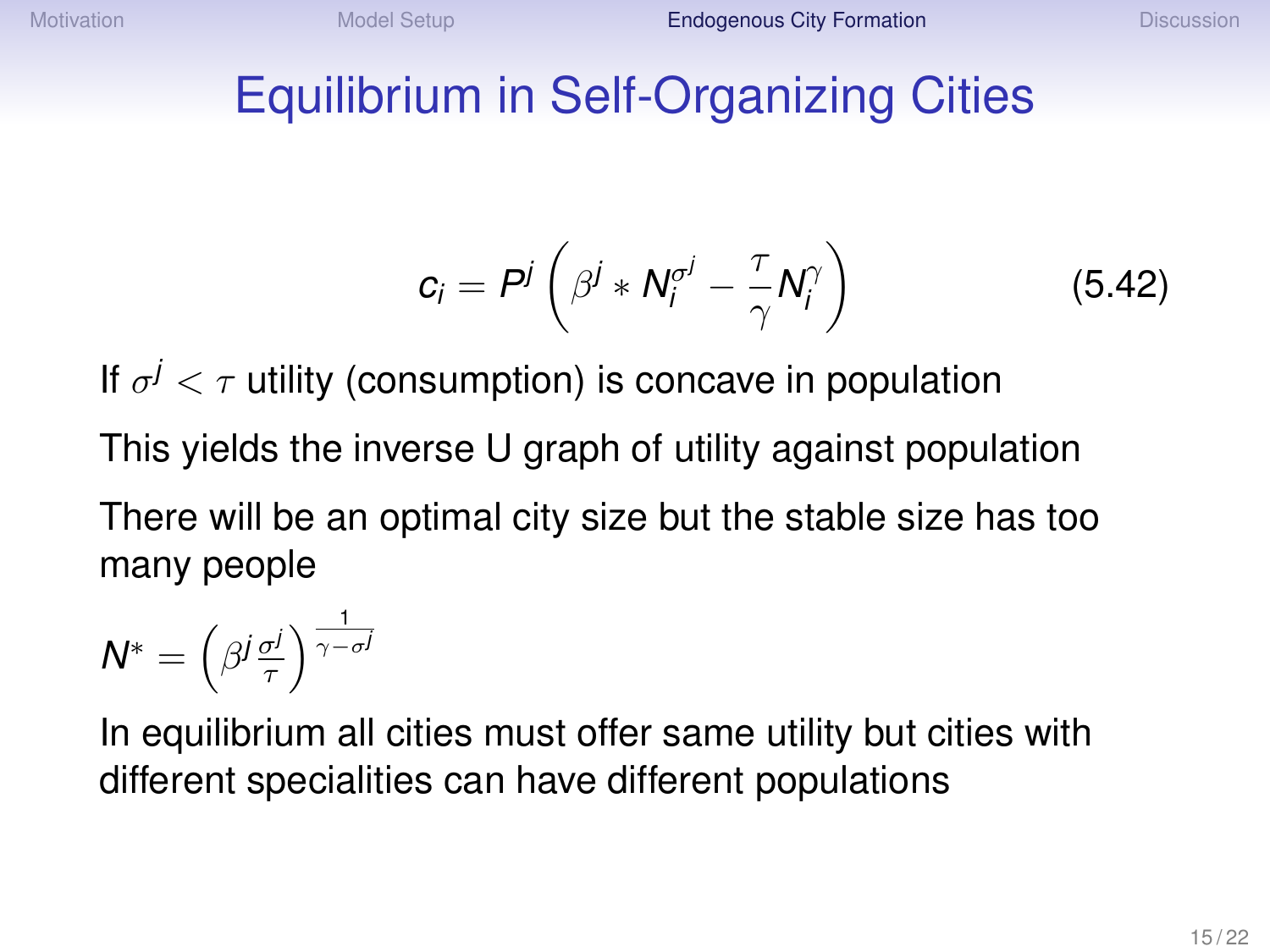#### Equilibrium in Self-Organizing Cities

$$
c_i = P^j \left( \beta^j * N_i^{\sigma^j} - \frac{\tau}{\gamma} N_i^{\gamma} \right) \tag{5.42}
$$

If  $\sigma^j < \tau$  utility (consumption) is concave in population This yields the inverse U graph of utility against population There will be an optimal city size but the stable size has too many people

$$
N^* = \left(\beta^j \frac{\sigma^j}{\tau}\right)^{\frac{1}{\gamma - \sigma^j}}
$$

In equilibrium all cities must offer same utility but cities with different specialities can have different populations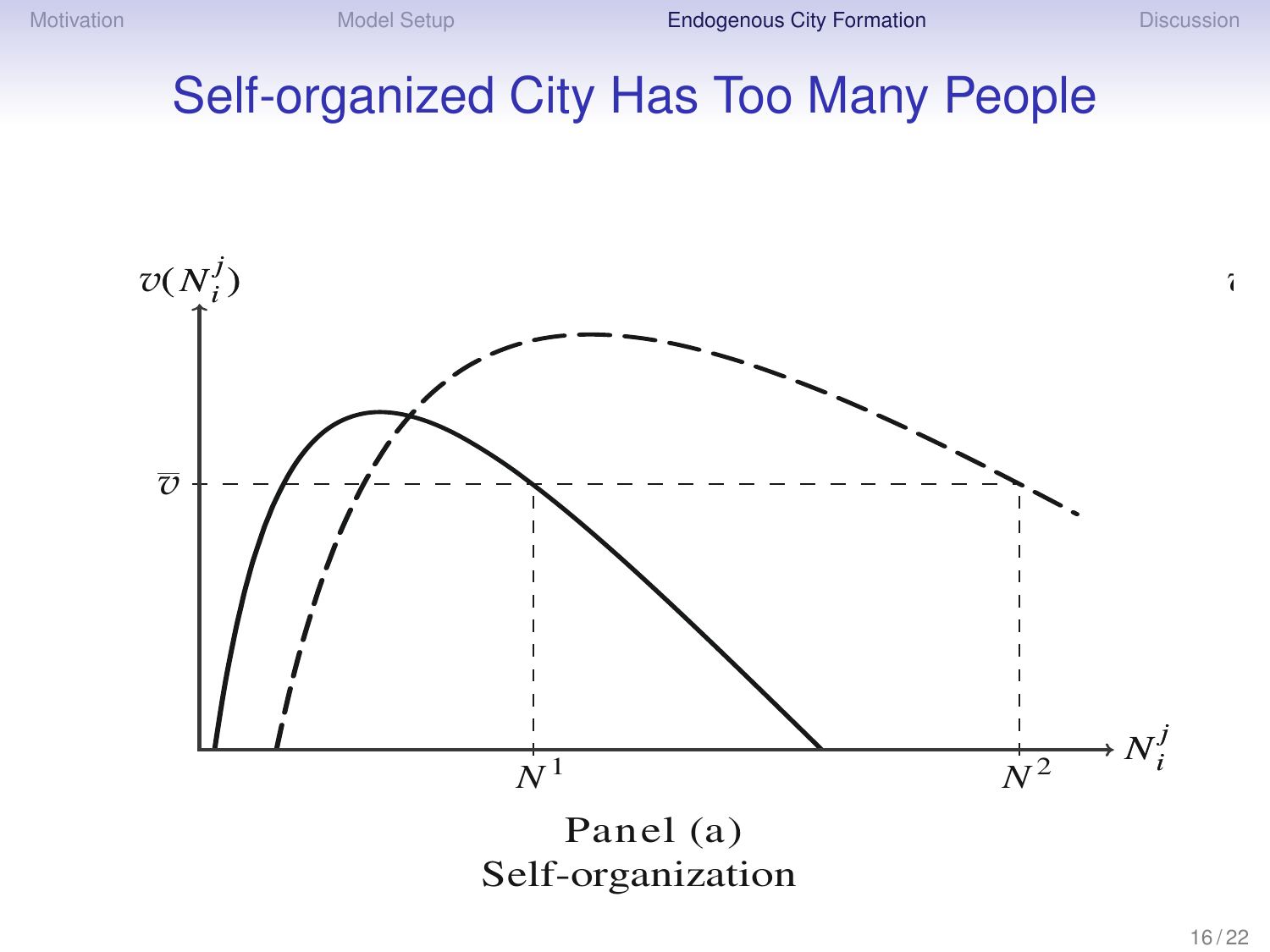*v*(*N <sup>j</sup>*

#### Self-organized City Has Too Many People The Growth of Cities 809

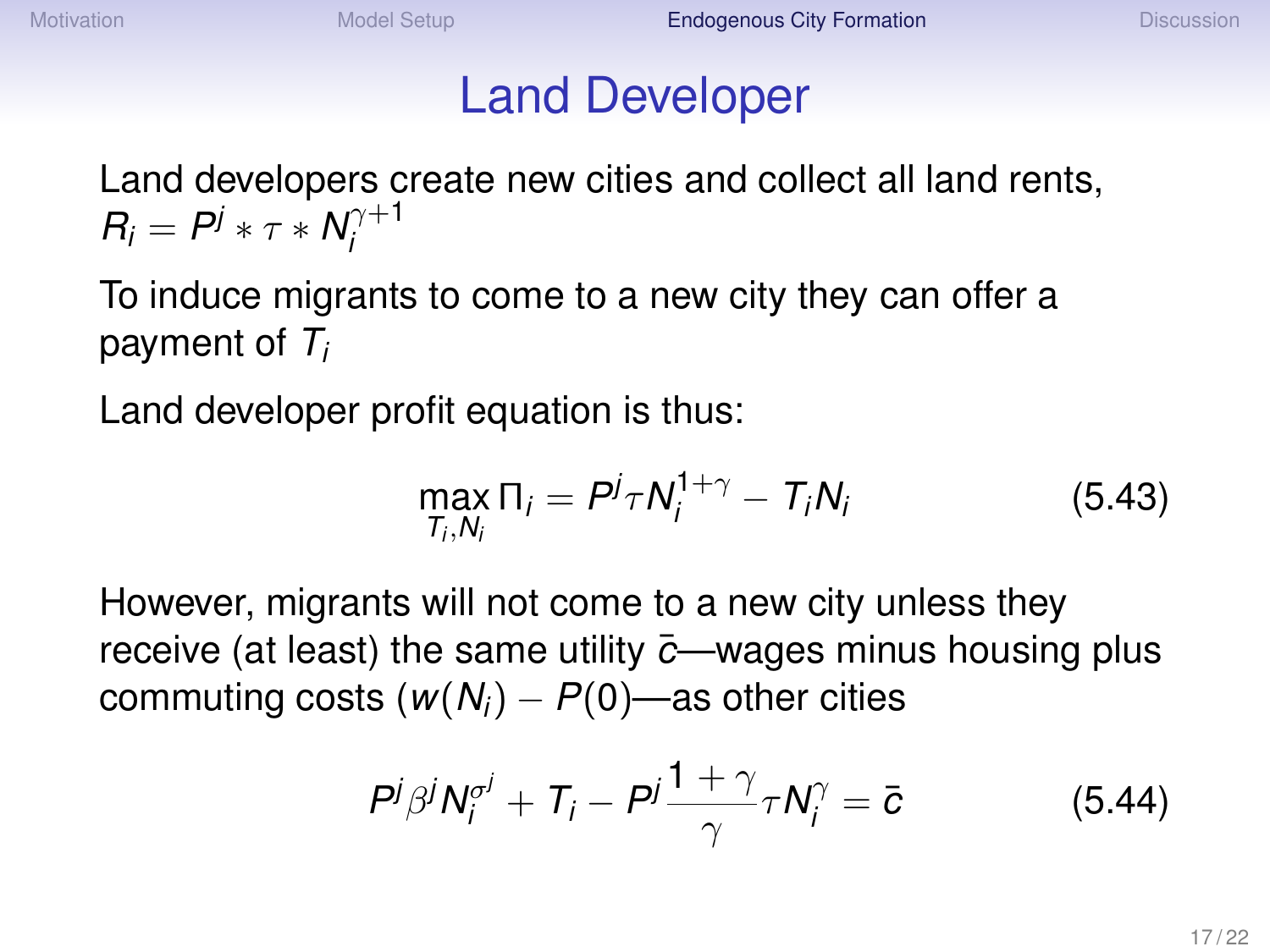#### Land Developer

Land developers create new cities and collect all land rents,  $R_i = P^j * \tau * N_i^{\gamma + 1}$ *i*

To induce migrants to come to a new city they can offer a payment of *T<sup>i</sup>*

Land developer profit equation is thus:

$$
\max_{T_i,N_i} \Pi_i = P^j \tau N_i^{1+\gamma} - T_i N_i \tag{5.43}
$$

However, migrants will not come to a new city unless they receive (at least) the same utility  $\bar{c}$ —wages minus housing plus commuting costs  $(w(N_i) - P(0))$ —as other cities

$$
P^j \beta^j N_i^{\sigma^j} + T_i - P^j \frac{1+\gamma}{\gamma} \tau N_i^{\gamma} = \bar{c}
$$
 (5.44)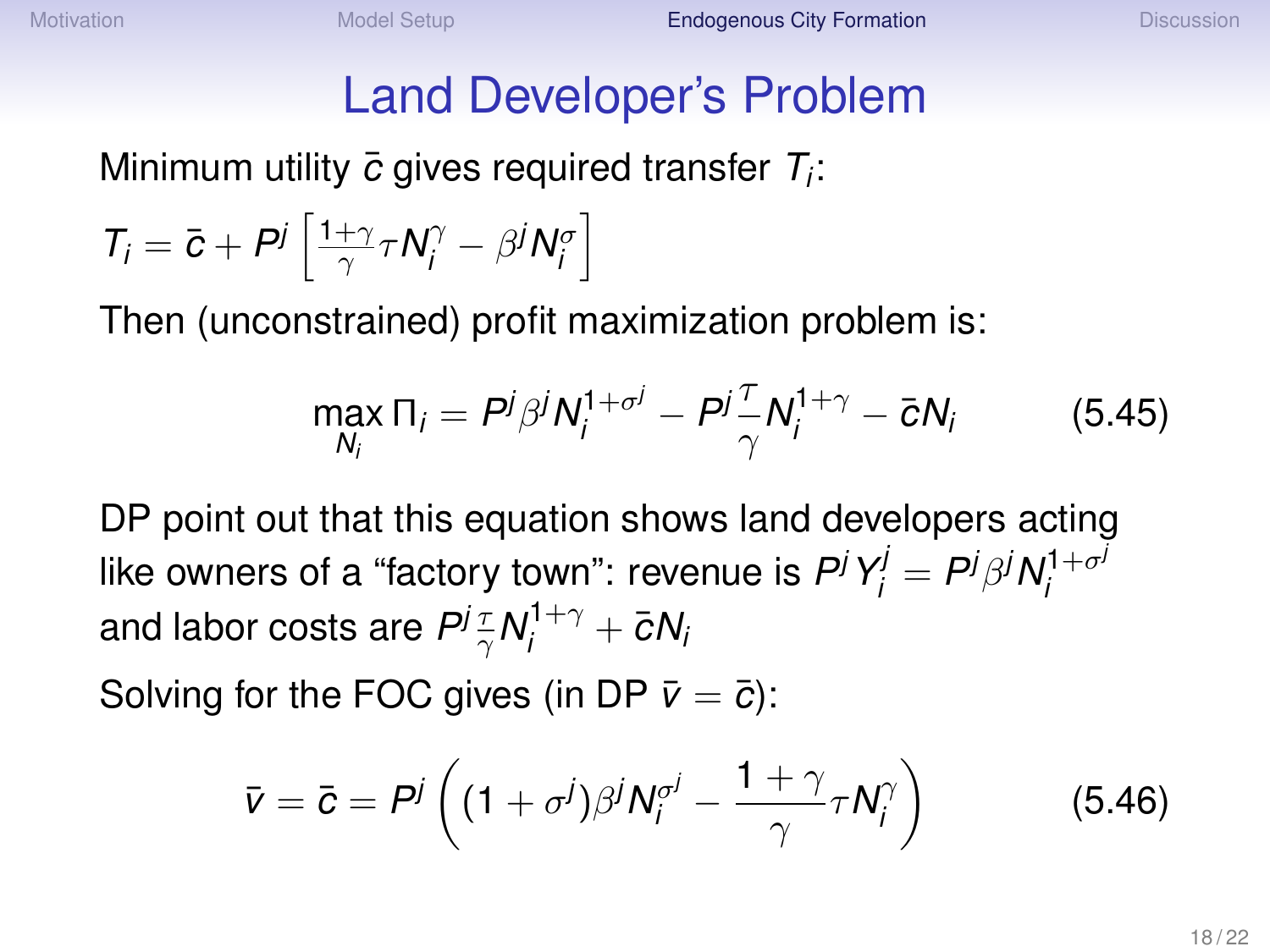## Land Developer's Problem

Minimum utility *c*¯ gives required transfer *T<sup>i</sup>* :

$$
T_i = \bar{c} + P^j \left[ \frac{1+\gamma}{\gamma} \tau N_i^{\gamma} - \beta^j N_i^{\sigma} \right]
$$

Then (unconstrained) profit maximization problem is:

$$
\max_{N_i} \Pi_i = P^j \beta^j N_i^{1+\sigma^j} - P^j \frac{\tau}{\gamma} N_i^{1+\gamma} - \bar{c} N_i \qquad (5.45)
$$

DP point out that this equation shows land developers acting like owners of a "factory town": revenue is  $P^jY^j_i = P^j\beta^jN^{1+\sigma^j}_i$ *i* and labor costs are  $P^j\frac{\tau}{\gamma} \mathcal{N}^{1+\gamma}_j + \bar{c} \mathcal{N}^j$ 

Solving for the FOC gives (in DP  $\bar{v} = \bar{c}$ ):

$$
\bar{v} = \bar{c} = P^j \left( (1 + \sigma^j)\beta^j N_i^{\sigma^j} - \frac{1 + \gamma}{\gamma} \tau N_i^{\gamma} \right) \tag{5.46}
$$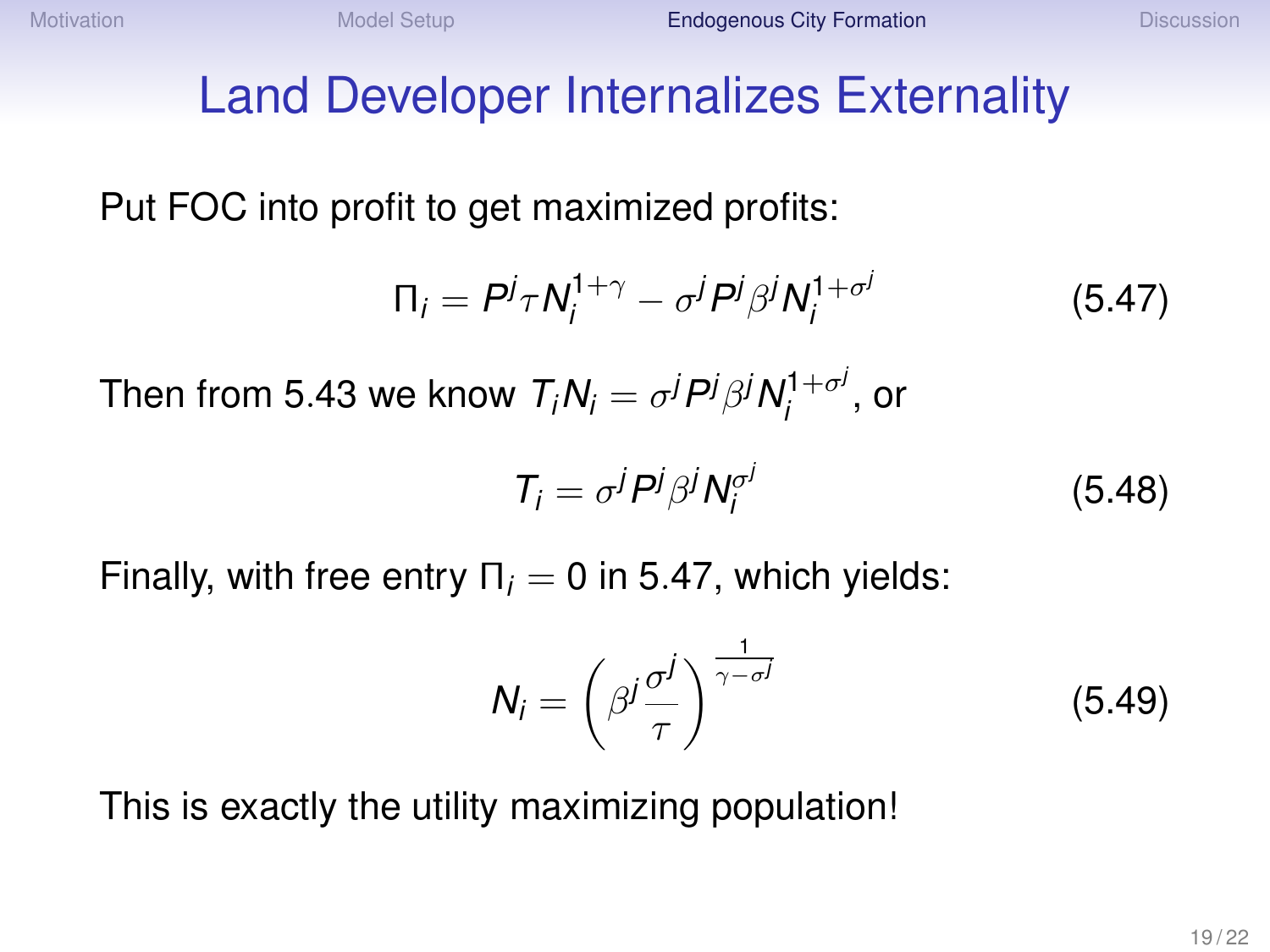# Land Developer Internalizes Externality

Put FOC into profit to get maximized profits:

$$
\Pi_i = P^j \tau N_i^{1+\gamma} - \sigma^j P^j \beta^j N_i^{1+\sigma^j} \tag{5.47}
$$

Then from 5.43 we know  $T_iN_i=\sigma^jP^j\beta^jN_i^{1+\sigma^j}$  $\int_{i}^{1+\sigma'}$ , or

$$
T_i = \sigma^j P^j \beta^j N_i^{\sigma^j} \tag{5.48}
$$

Finally, with free entry  $\Pi_i = 0$  in 5.47, which yields:

$$
N_i = \left(\beta^j \frac{\sigma^j}{\tau}\right)^{\frac{1}{\gamma - \sigma^j}}
$$
 (5.49)

This is exactly the utility maximizing population!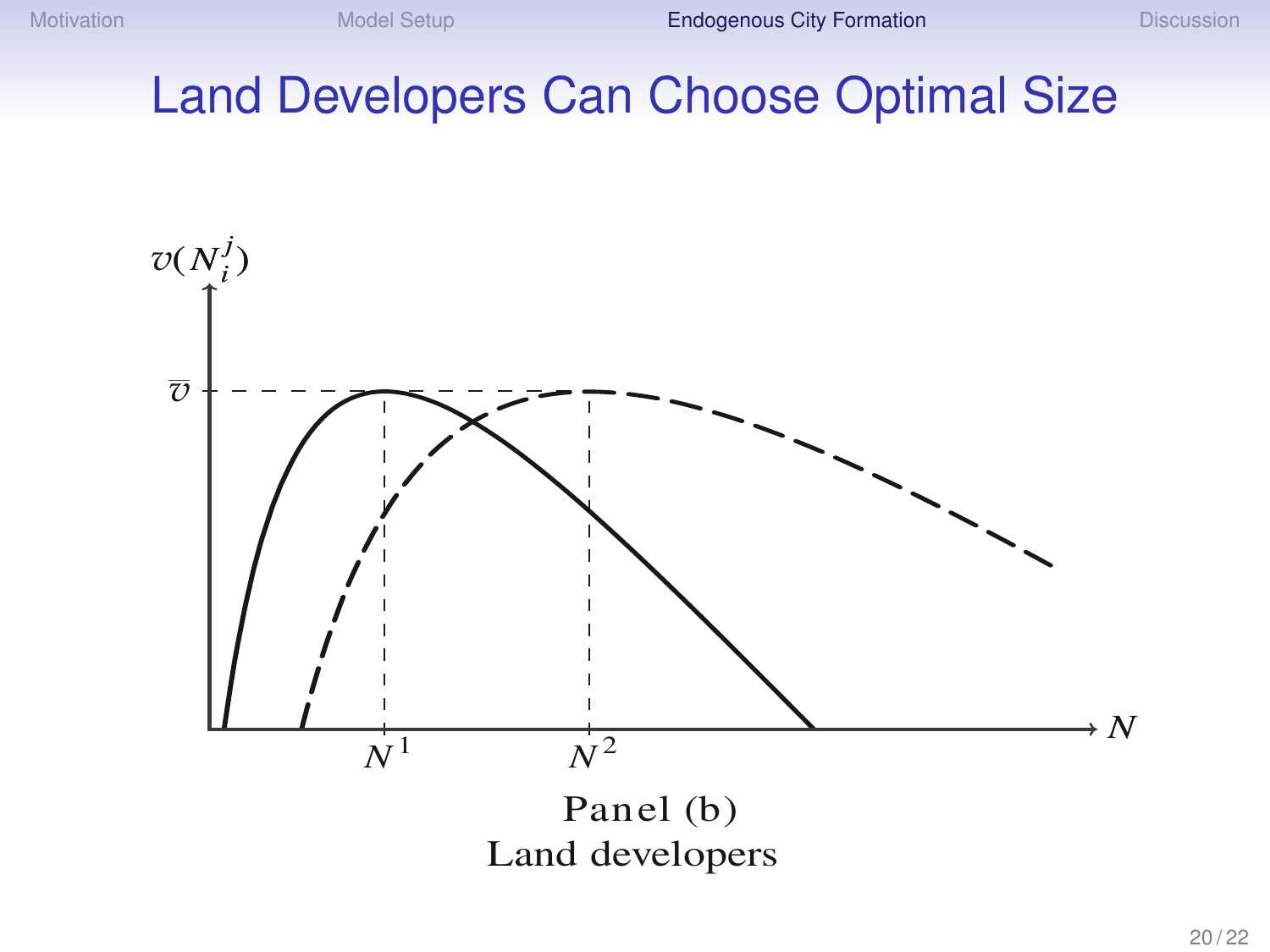# Land Developers Can Choose Optimal Size

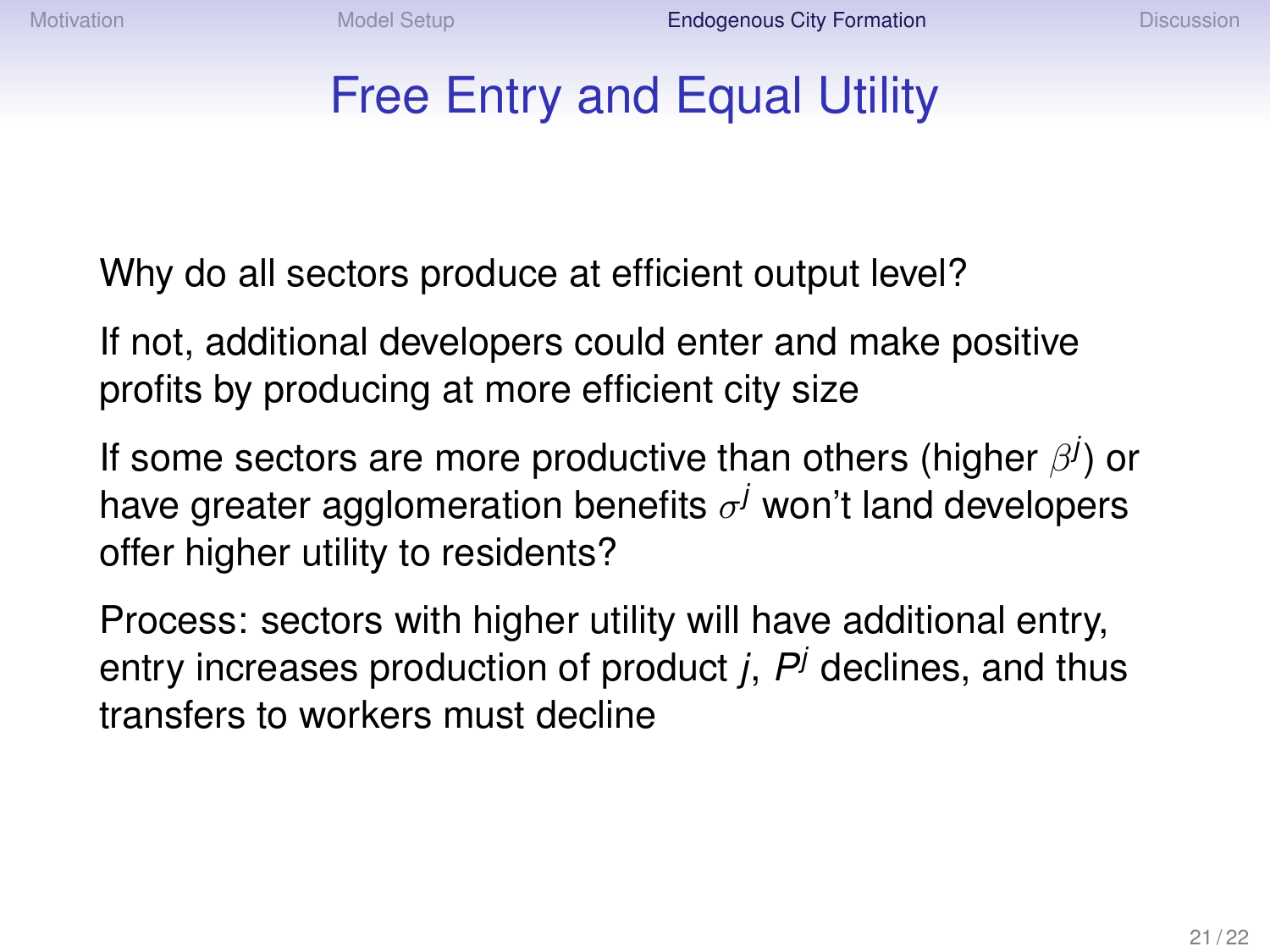#### Free Entry and Equal Utility

Why do all sectors produce at efficient output level?

If not, additional developers could enter and make positive profits by producing at more efficient city size

If some sectors are more productive than others (higher β *j* ) or have greater agglomeration benefits  $\sigma^j$  won't land developers offer higher utility to residents?

Process: sectors with higher utility will have additional entry, entry increases production of product *j*, *P <sup>j</sup>* declines, and thus transfers to workers must decline